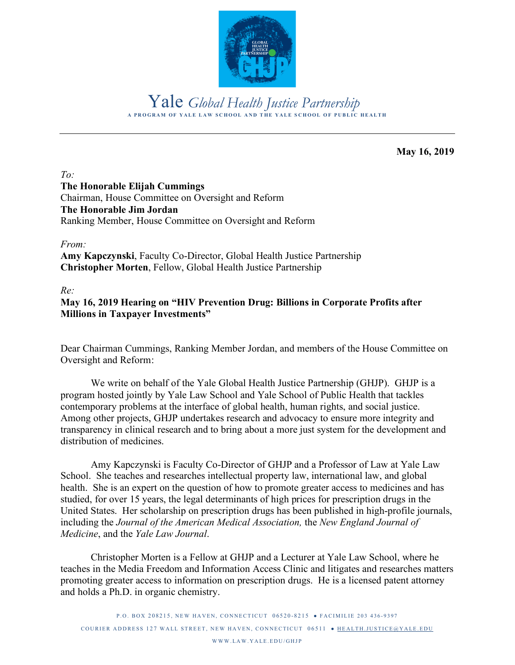

**A PROGRAM OF YALE LAW SCHOOL AND THE YALE SCHOOL OF PUBLIC HEALTH** Yale *Global Health Justice Partnership*

**May 16, 2019**

### *To:* **The Honorable Elijah Cummings**

Chairman, House Committee on Oversight and Reform **The Honorable Jim Jordan** Ranking Member, House Committee on Oversight and Reform

#### *From:*

**Amy Kapczynski**, Faculty Co-Director, Global Health Justice Partnership **Christopher Morten**, Fellow, Global Health Justice Partnership

*Re:*

#### **May 16, 2019 Hearing on "HIV Prevention Drug: Billions in Corporate Profits after Millions in Taxpayer Investments"**

Dear Chairman Cummings, Ranking Member Jordan, and members of the House Committee on Oversight and Reform:

We write on behalf of the Yale Global Health Justice Partnership (GHJP). GHJP is a program hosted jointly by Yale Law School and Yale School of Public Health that tackles contemporary problems at the interface of global health, human rights, and social justice. Among other projects, GHJP undertakes research and advocacy to ensure more integrity and transparency in clinical research and to bring about a more just system for the development and distribution of medicines.

Amy Kapczynski is Faculty Co-Director of GHJP and a Professor of Law at Yale Law School. She teaches and researches intellectual property law, international law, and global health. She is an expert on the question of how to promote greater access to medicines and has studied, for over 15 years, the legal determinants of high prices for prescription drugs in the United States. Her scholarship on prescription drugs has been published in high-profile journals, including the *Journal of the American Medical Association,* the *New England Journal of Medicine*, and the *Yale Law Journal*.

Christopher Morten is a Fellow at GHJP and a Lecturer at Yale Law School, where he teaches in the Media Freedom and Information Access Clinic and litigates and researches matters promoting greater access to information on prescription drugs. He is a licensed patent attorney and holds a Ph.D. in organic chemistry.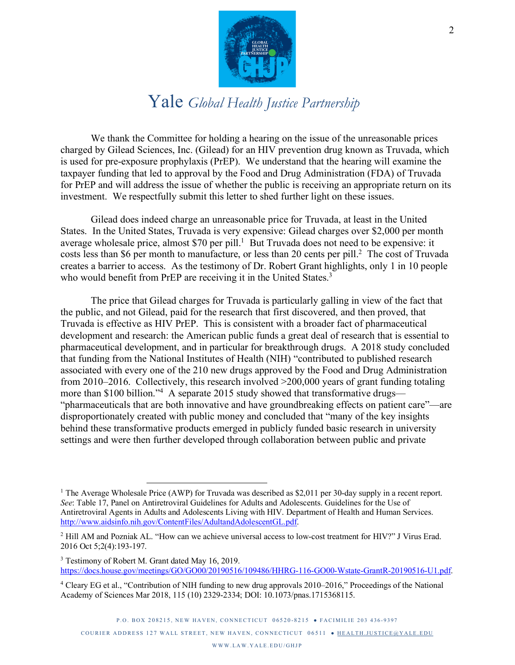

We thank the Committee for holding a hearing on the issue of the unreasonable prices charged by Gilead Sciences, Inc. (Gilead) for an HIV prevention drug known as Truvada, which is used for pre-exposure prophylaxis (PrEP). We understand that the hearing will examine the taxpayer funding that led to approval by the Food and Drug Administration (FDA) of Truvada for PrEP and will address the issue of whether the public is receiving an appropriate return on its investment. We respectfully submit this letter to shed further light on these issues.

Gilead does indeed charge an unreasonable price for Truvada, at least in the United States. In the United States, Truvada is very expensive: Gilead charges over \$2,000 per month average wholesale price, almost \$70 per pill. <sup>1</sup> But Truvada does not need to be expensive: it costs less than \$6 per month to manufacture, or less than 20 cents per pill. 2 The cost of Truvada creates a barrier to access. As the testimony of Dr. Robert Grant highlights, only 1 in 10 people who would benefit from PrEP are receiving it in the United States.<sup>3</sup>

The price that Gilead charges for Truvada is particularly galling in view of the fact that the public, and not Gilead, paid for the research that first discovered, and then proved, that Truvada is effective as HIV PrEP. This is consistent with a broader fact of pharmaceutical development and research: the American public funds a great deal of research that is essential to pharmaceutical development, and in particular for breakthrough drugs. A 2018 study concluded that funding from the National Institutes of Health (NIH) "contributed to published research associated with every one of the 210 new drugs approved by the Food and Drug Administration from 2010–2016. Collectively, this research involved >200,000 years of grant funding totaling more than \$100 billion."<sup>4</sup> A separate 2015 study showed that transformative drugs— "pharmaceuticals that are both innovative and have groundbreaking effects on patient care"—are disproportionately created with public money and concluded that "many of the key insights behind these transformative products emerged in publicly funded basic research in university settings and were then further developed through collaboration between public and private

<sup>&</sup>lt;sup>1</sup> The Average Wholesale Price (AWP) for Truvada was described as \$2,011 per 30-day supply in a recent report. *See*: Table 17, Panel on Antiretroviral Guidelines for Adults and Adolescents. Guidelines for the Use of Antiretroviral Agents in Adults and Adolescents Living with HIV. Department of Health and Human Services. http://www.aidsinfo.nih.gov/ContentFiles/AdultandAdolescentGL.pdf.

<sup>2</sup> Hill AM and Pozniak AL. "How can we achieve universal access to low-cost treatment for HIV?" J Virus Erad. 2016 Oct 5;2(4):193-197.

<sup>&</sup>lt;sup>3</sup> Testimony of Robert M. Grant dated May 16, 2019. https://docs.house.gov/meetings/GO/GO00/20190516/109486/HHRG-116-GO00-Wstate-GrantR-20190516-U1.pdf.

<sup>4</sup> Cleary EG et al., "Contribution of NIH funding to new drug approvals 2010–2016," Proceedings of the National Academy of Sciences Mar 2018, 115 (10) 2329-2334; DOI: 10.1073/pnas.1715368115.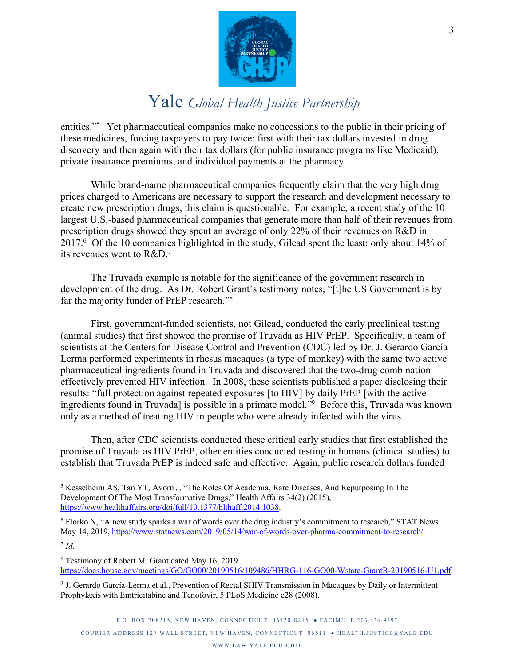

entities."<sup>5</sup> Yet pharmaceutical companies make no concessions to the public in their pricing of these medicines, forcing taxpayers to pay twice: first with their tax dollars invested in drug discovery and then again with their tax dollars (for public insurance programs like Medicaid), private insurance premiums, and individual payments at the pharmacy.

While brand-name pharmaceutical companies frequently claim that the very high drug prices charged to Americans are necessary to support the research and development necessary to create new prescription drugs, this claim is questionable. For example, a recent study of the 10 largest U.S.-based pharmaceutical companies that generate more than half of their revenues from prescription drugs showed they spent an average of only 22% of their revenues on R&D in 2017.6 Of the 10 companies highlighted in the study, Gilead spent the least: only about 14% of its revenues went to R&D.7

The Truvada example is notable for the significance of the government research in development of the drug. As Dr. Robert Grant's testimony notes, "[t]he US Government is by far the majority funder of PrEP research."<sup>8</sup>

First, government-funded scientists, not Gilead, conducted the early preclinical testing (animal studies) that first showed the promise of Truvada as HIV PrEP. Specifically, a team of scientists at the Centers for Disease Control and Prevention (CDC) led by Dr. J. Gerardo García-Lerma performed experiments in rhesus macaques (a type of monkey) with the same two active pharmaceutical ingredients found in Truvada and discovered that the two-drug combination effectively prevented HIV infection. In 2008, these scientists published a paper disclosing their results: "full protection against repeated exposures [to HIV] by daily PrEP [with the active ingredients found in Truvada) is possible in a primate model.<sup>"9</sup> Before this, Truvada was known only as a method of treating HIV in people who were already infected with the virus.

Then, after CDC scientists conducted these critical early studies that first established the promise of Truvada as HIV PrEP, other entities conducted testing in humans (clinical studies) to establish that Truvada PrEP is indeed safe and effective. Again, public research dollars funded

 <sup>5</sup> Kesselheim AS, Tan YT, Avorn J, "The Roles Of Academia, Rare Diseases, And Repurposing In The Development Of The Most Transformative Drugs," Health Affairs 34(2) (2015), https://www.healthaffairs.org/doi/full/10.1377/hlthaff.2014.1038.

<sup>6</sup> Florko N, "A new study sparks a war of words over the drug industry's commitment to research," STAT News May 14, 2019, https://www.statnews.com/2019/05/14/war-of-words-over-pharma-commitment-to-research/.

 $^7$  *Id.* 

<sup>8</sup> Testimony of Robert M. Grant dated May 16, 2019. https://docs.house.gov/meetings/GO/GO00/20190516/109486/HHRG-116-GO00-Wstate-GrantR-20190516-U1.pdf.

<sup>9</sup> J. Gerardo García-Lerma et al., Prevention of Rectal SHIV Transmission in Macaques by Daily or Intermittent Prophylaxis with Emtricitabine and Tenofovir, 5 PLoS Medicine e28 (2008).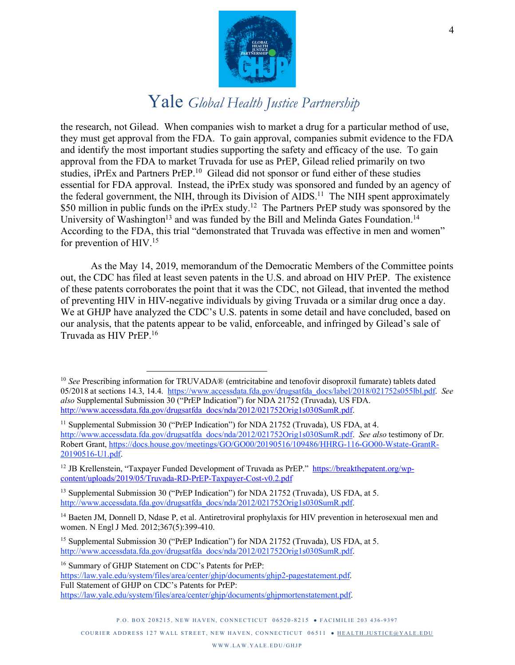

the research, not Gilead. When companies wish to market a drug for a particular method of use, they must get approval from the FDA. To gain approval, companies submit evidence to the FDA and identify the most important studies supporting the safety and efficacy of the use. To gain approval from the FDA to market Truvada for use as PrEP, Gilead relied primarily on two studies, iPrEx and Partners PrEP.<sup>10</sup> Gilead did not sponsor or fund either of these studies essential for FDA approval. Instead, the iPrEx study was sponsored and funded by an agency of the federal government, the NIH, through its Division of AIDS.<sup>11</sup> The NIH spent approximately \$50 million in public funds on the iPrEx study.<sup>12</sup> The Partners PrEP study was sponsored by the University of Washington<sup>13</sup> and was funded by the Bill and Melinda Gates Foundation.<sup>14</sup> According to the FDA, this trial "demonstrated that Truvada was effective in men and women" for prevention of HIV.15

As the May 14, 2019, memorandum of the Democratic Members of the Committee points out, the CDC has filed at least seven patents in the U.S. and abroad on HIV PrEP. The existence of these patents corroborates the point that it was the CDC, not Gilead, that invented the method of preventing HIV in HIV-negative individuals by giving Truvada or a similar drug once a day. We at GHJP have analyzed the CDC's U.S. patents in some detail and have concluded, based on our analysis, that the patents appear to be valid, enforceable, and infringed by Gilead's sale of Truvada as HIV PrEP.16

<sup>16</sup> Summary of GHJP Statement on CDC's Patents for PrEP: https://law.yale.edu/system/files/area/center/ghjp/documents/ghjp2-pagestatement.pdf. Full Statement of GHJP on CDC's Patents for PrEP: https://law.yale.edu/system/files/area/center/ghjp/documents/ghjpmortenstatement.pdf.

 <sup>10</sup> *See* Prescribing information for TRUVADA® (emtricitabine and tenofovir disoproxil fumarate) tablets dated 05/2018 at sections 14.3, 14.4. https://www.accessdata.fda.gov/drugsatfda\_docs/label/2018/021752s055lbl.pdf. *See also* Supplemental Submission 30 ("PrEP Indication") for NDA 21752 (Truvada), US FDA. http://www.accessdata.fda.gov/drugsatfda\_docs/nda/2012/021752Orig1s030SumR.pdf.

<sup>&</sup>lt;sup>11</sup> Supplemental Submission 30 ("PrEP Indication") for NDA 21752 (Truvada), US FDA, at 4. http://www.accessdata.fda.gov/drugsatfda\_docs/nda/2012/021752Orig1s030SumR.pdf. *See also* testimony of Dr. Robert Grant, https://docs.house.gov/meetings/GO/GO00/20190516/109486/HHRG-116-GO00-Wstate-GrantR-20190516-U1.pdf.

<sup>&</sup>lt;sup>12</sup> JB Krellenstein, "Taxpayer Funded Development of Truvada as PrEP." https://breakthepatent.org/wpcontent/uploads/2019/05/Truvada-RD-PrEP-Taxpayer-Cost-v0.2.pdf

<sup>&</sup>lt;sup>13</sup> Supplemental Submission 30 ("PrEP Indication") for NDA 21752 (Truvada), US FDA, at 5. http://www.accessdata.fda.gov/drugsatfda\_docs/nda/2012/021752Orig1s030SumR.pdf.

<sup>&</sup>lt;sup>14</sup> Baeten JM, Donnell D, Ndase P, et al. Antiretroviral prophylaxis for HIV prevention in heterosexual men and women. N Engl J Med. 2012;367(5):399-410.

<sup>&</sup>lt;sup>15</sup> Supplemental Submission 30 ("PrEP Indication") for NDA 21752 (Truvada), US FDA, at 5. http://www.accessdata.fda.gov/drugsatfda\_docs/nda/2012/021752Orig1s030SumR.pdf.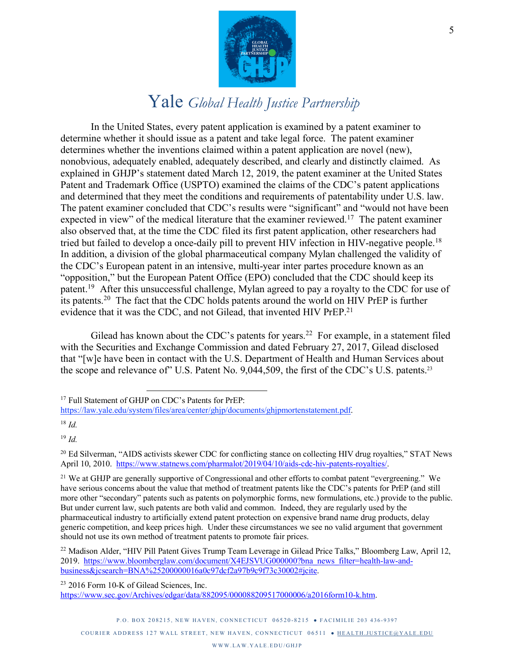

In the United States, every patent application is examined by a patent examiner to determine whether it should issue as a patent and take legal force. The patent examiner determines whether the inventions claimed within a patent application are novel (new), nonobvious, adequately enabled, adequately described, and clearly and distinctly claimed. As explained in GHJP's statement dated March 12, 2019, the patent examiner at the United States Patent and Trademark Office (USPTO) examined the claims of the CDC's patent applications and determined that they meet the conditions and requirements of patentability under U.S. law. The patent examiner concluded that CDC's results were "significant" and "would not have been expected in view" of the medical literature that the examiner reviewed.<sup>17</sup> The patent examiner also observed that, at the time the CDC filed its first patent application, other researchers had tried but failed to develop a once-daily pill to prevent HIV infection in HIV-negative people. 18 In addition, a division of the global pharmaceutical company Mylan challenged the validity of the CDC's European patent in an intensive, multi-year inter partes procedure known as an "opposition," but the European Patent Office (EPO) concluded that the CDC should keep its patent.<sup>19</sup> After this unsuccessful challenge, Mylan agreed to pay a royalty to the CDC for use of its patents.20 The fact that the CDC holds patents around the world on HIV PrEP is further evidence that it was the CDC, and not Gilead, that invented HIV PrEP.<sup>21</sup>

Gilead has known about the CDC's patents for years.<sup>22</sup> For example, in a statement filed with the Securities and Exchange Commission and dated February 27, 2017, Gilead disclosed that "[w]e have been in contact with the U.S. Department of Health and Human Services about the scope and relevance of" U.S. Patent No. 9,044,509, the first of the CDC's U.S. patents.<sup>23</sup>

<sup>17</sup> Full Statement of GHJP on CDC's Patents for PrEP:

<sup>18</sup> *Id.*

<sup>19</sup> *Id.*

https://law.yale.edu/system/files/area/center/ghjp/documents/ghjpmortenstatement.pdf.

<sup>&</sup>lt;sup>20</sup> Ed Silverman, "AIDS activists skewer CDC for conflicting stance on collecting HIV drug royalties," STAT News April 10, 2010. https://www.statnews.com/pharmalot/2019/04/10/aids-cdc-hiv-patents-royalties/.

<sup>&</sup>lt;sup>21</sup> We at GHJP are generally supportive of Congressional and other efforts to combat patent "evergreening." We have serious concerns about the value that method of treatment patents like the CDC's patents for PrEP (and still more other "secondary" patents such as patents on polymorphic forms, new formulations, etc.) provide to the public. But under current law, such patents are both valid and common. Indeed, they are regularly used by the pharmaceutical industry to artificially extend patent protection on expensive brand name drug products, delay generic competition, and keep prices high. Under these circumstances we see no valid argument that government should not use its own method of treatment patents to promote fair prices.

<sup>&</sup>lt;sup>22</sup> Madison Alder, "HIV Pill Patent Gives Trump Team Leverage in Gilead Price Talks," Bloomberg Law, April 12, 2019. https://www.bloomberglaw.com/document/X4EJSVUG000000?bna\_news\_filter=health-law-andbusiness&jcsearch=BNA%25200000016a0c97dcf2a97b9c9f73c30002#jcite.

<sup>23</sup> 2016 Form 10-K of Gilead Sciences, Inc. https://www.sec.gov/Archives/edgar/data/882095/000088209517000006/a2016form10-k.htm.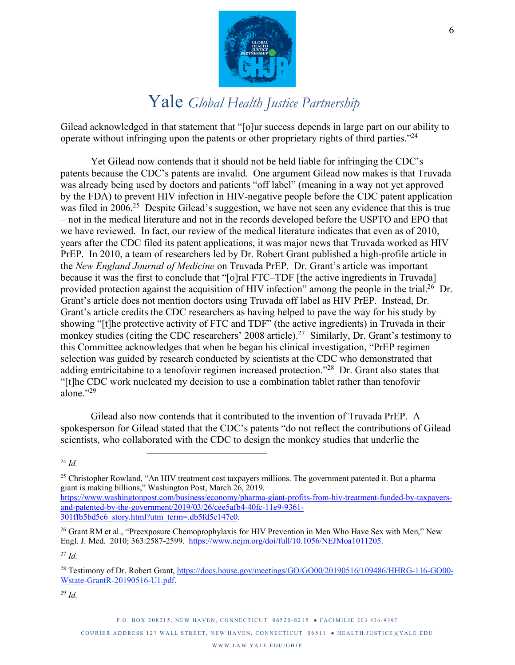

Gilead acknowledged in that statement that "[o]ur success depends in large part on our ability to operate without infringing upon the patents or other proprietary rights of third parties."24

Yet Gilead now contends that it should not be held liable for infringing the CDC's patents because the CDC's patents are invalid. One argument Gilead now makes is that Truvada was already being used by doctors and patients "off label" (meaning in a way not yet approved by the FDA) to prevent HIV infection in HIV-negative people before the CDC patent application was filed in 2006<sup>25</sup> Despite Gilead's suggestion, we have not seen any evidence that this is true – not in the medical literature and not in the records developed before the USPTO and EPO that we have reviewed. In fact, our review of the medical literature indicates that even as of 2010, years after the CDC filed its patent applications, it was major news that Truvada worked as HIV PrEP. In 2010, a team of researchers led by Dr. Robert Grant published a high-profile article in the *New England Journal of Medicine* on Truvada PrEP. Dr. Grant's article was important because it was the first to conclude that "[o]ral FTC–TDF [the active ingredients in Truvada] provided protection against the acquisition of HIV infection" among the people in the trial.<sup>26</sup> Dr. Grant's article does not mention doctors using Truvada off label as HIV PrEP. Instead, Dr. Grant's article credits the CDC researchers as having helped to pave the way for his study by showing "[t]he protective activity of FTC and TDF" (the active ingredients) in Truvada in their monkey studies (citing the CDC researchers' 2008 article).<sup>27</sup> Similarly, Dr. Grant's testimony to this Committee acknowledges that when he began his clinical investigation, "PrEP regimen selection was guided by research conducted by scientists at the CDC who demonstrated that adding emtricitabine to a tenofovir regimen increased protection."28 Dr. Grant also states that "[t]he CDC work nucleated my decision to use a combination tablet rather than tenofovir alone<sup>"29</sup>

Gilead also now contends that it contributed to the invention of Truvada PrEP. A spokesperson for Gilead stated that the CDC's patents "do not reflect the contributions of Gilead scientists, who collaborated with the CDC to design the monkey studies that underlie the

https://www.washingtonpost.com/business/economy/pharma-giant-profits-from-hiv-treatment-funded-by-taxpayersand-patented-by-the-government/2019/03/26/cee5afb4-40fc-11e9-9361- 301ffb5bd5e6\_story.html?utm\_term=.db5fd5c147e0.

 $^{27}$  *Id.* 

<sup>28</sup> Testimony of Dr. Robert Grant, https://docs.house.gov/meetings/GO/GO00/20190516/109486/HHRG-116-GO00- Wstate-GrantR-20190516-U1.pdf.

<sup>29</sup> *Id.* 

 <sup>24</sup> *Id.* 

<sup>&</sup>lt;sup>25</sup> Christopher Rowland, "An HIV treatment cost taxpayers millions. The government patented it. But a pharma giant is making billions," Washington Post, March 26, 2019.

<sup>&</sup>lt;sup>26</sup> Grant RM et al., "Preexposure Chemoprophylaxis for HIV Prevention in Men Who Have Sex with Men," New Engl. J. Med. 2010; 363:2587-2599. https://www.nejm.org/doi/full/10.1056/NEJMoa1011205.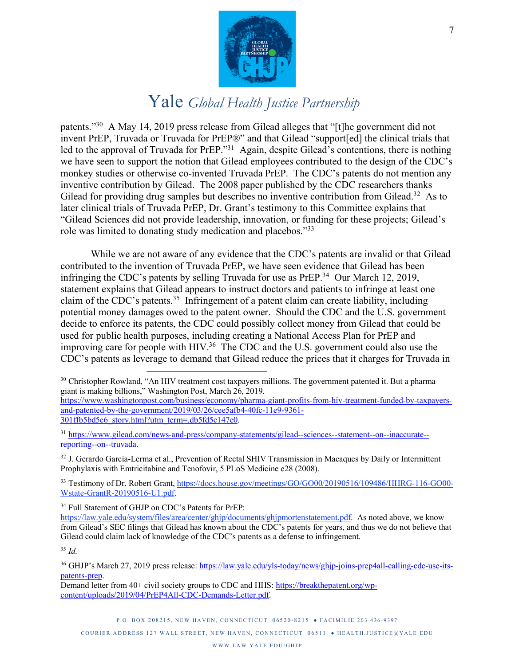

patents."30 A May 14, 2019 press release from Gilead alleges that "[t]he government did not invent PrEP, Truvada or Truvada for PrEP®" and that Gilead "support[ed] the clinical trials that led to the approval of Truvada for PrEP."<sup>31</sup> Again, despite Gilead's contentions, there is nothing we have seen to support the notion that Gilead employees contributed to the design of the CDC's monkey studies or otherwise co-invented Truvada PrEP. The CDC's patents do not mention any inventive contribution by Gilead. The 2008 paper published by the CDC researchers thanks Gilead for providing drug samples but describes no inventive contribution from Gilead.<sup>32</sup> As to later clinical trials of Truvada PrEP, Dr. Grant's testimony to this Committee explains that "Gilead Sciences did not provide leadership, innovation, or funding for these projects; Gilead's role was limited to donating study medication and placebos."33

While we are not aware of any evidence that the CDC's patents are invalid or that Gilead contributed to the invention of Truvada PrEP, we have seen evidence that Gilead has been infringing the CDC's patents by selling Truvada for use as PrEP.<sup>34</sup> Our March 12, 2019, statement explains that Gilead appears to instruct doctors and patients to infringe at least one claim of the CDC's patents.<sup>35</sup> Infringement of a patent claim can create liability, including potential money damages owed to the patent owner. Should the CDC and the U.S. government decide to enforce its patents, the CDC could possibly collect money from Gilead that could be used for public health purposes, including creating a National Access Plan for PrEP and improving care for people with HIV.<sup>36</sup> The CDC and the U.S. government could also use the CDC's patents as leverage to demand that Gilead reduce the prices that it charges for Truvada in

<sup>30</sup> Christopher Rowland, "An HIV treatment cost taxpayers millions. The government patented it. But a pharma giant is making billions," Washington Post, March 26, 2019.

https://www.washingtonpost.com/business/economy/pharma-giant-profits-from-hiv-treatment-funded-by-taxpayersand-patented-by-the-government/2019/03/26/cee5afb4-40fc-11e9-9361- 301ffb5bd5e6\_story.html?utm\_term=.db5fd5c147e0.

<sup>31</sup> https://www.gilead.com/news-and-press/company-statements/gilead--sciences--statement--on--inaccurate- reporting--on--truvada.

<sup>32</sup> J. Gerardo García-Lerma et al., Prevention of Rectal SHIV Transmission in Macaques by Daily or Intermittent Prophylaxis with Emtricitabine and Tenofovir, 5 PLoS Medicine e28 (2008).

<sup>33</sup> Testimony of Dr. Robert Grant, https://docs.house.gov/meetings/GO/GO00/20190516/109486/HHRG-116-GO00- Wstate-GrantR-20190516-U1.pdf.

<sup>34</sup> Full Statement of GHJP on CDC's Patents for PrEP:

https://law.yale.edu/system/files/area/center/ghjp/documents/ghjpmortenstatement.pdf. As noted above, we know from Gilead's SEC filings that Gilead has known about the CDC's patents for years, and thus we do not believe that Gilead could claim lack of knowledge of the CDC's patents as a defense to infringement.

<sup>35</sup> *Id.* 

<sup>36</sup> GHJP's March 27, 2019 press release: https://law.yale.edu/yls-today/news/ghjp-joins-prep4all-calling-cdc-use-itspatents-prep.

Demand letter from 40+ civil society groups to CDC and HHS: https://breakthepatent.org/wpcontent/uploads/2019/04/PrEP4All-CDC-Demands-Letter.pdf.

P.O. BOX 208215, NEW HAVEN, CONNECTICUT 06520-8215 • FACIMILIE 203 436-9397